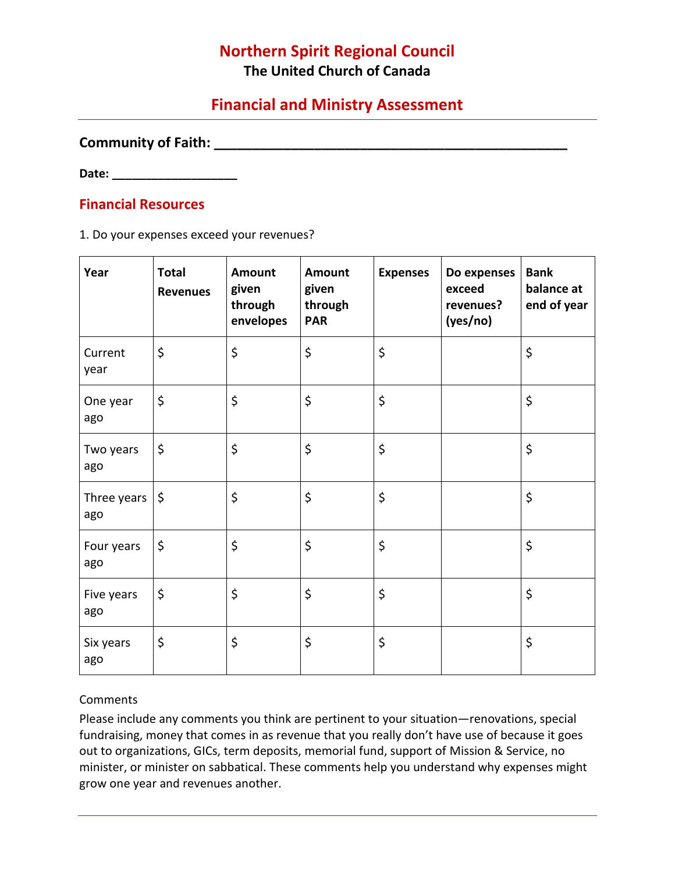# **Northern Spirit Regional Council**

**The United Church of Canada**

# **Financial and Ministry Assessment**

#### **Community of Faith: \_\_\_\_\_\_\_\_\_\_\_\_\_\_\_\_\_\_\_\_\_\_\_\_\_\_\_\_\_\_\_\_\_\_\_\_\_\_\_\_\_\_\_\_\_\_**

**Date: \_\_\_\_\_\_\_\_\_\_\_\_\_\_\_\_\_\_\_**

### **Financial Resources**

1. Do your expenses exceed your revenues?

| Year               | <b>Total</b><br><b>Revenues</b> | Amount<br>given<br>through<br>envelopes | <b>Amount</b><br>given<br>through<br><b>PAR</b> | <b>Expenses</b> | Do expenses<br>exceed<br>revenues?<br>(yes/no) | <b>Bank</b><br>balance at<br>end of year |
|--------------------|---------------------------------|-----------------------------------------|-------------------------------------------------|-----------------|------------------------------------------------|------------------------------------------|
| Current<br>year    | \$                              | \$                                      | \$                                              | \$              |                                                | \$                                       |
| One year<br>ago    | \$                              | \$                                      | \$                                              | \$              |                                                | \$                                       |
| Two years<br>ago   | \$                              | \$                                      | \$                                              | \$              |                                                | $\zeta$                                  |
| Three years<br>ago | \$                              | \$                                      | \$                                              | \$              |                                                | \$                                       |
| Four years<br>ago  | \$                              | \$                                      | \$                                              | \$              |                                                | \$                                       |
| Five years<br>ago  | \$                              | \$                                      | \$                                              | \$              |                                                | \$                                       |
| Six years<br>ago   | \$                              | \$                                      | \$                                              | \$              |                                                | \$                                       |

### **Comments**

Please include any comments you think are pertinent to your situation—renovations, special fundraising, money that comes in as revenue that you really don't have use of because it goes out to organizations, GICs, term deposits, memorial fund, support of Mission & Service, no minister, or minister on sabbatical. These comments help you understand why expenses might grow one year and revenues another.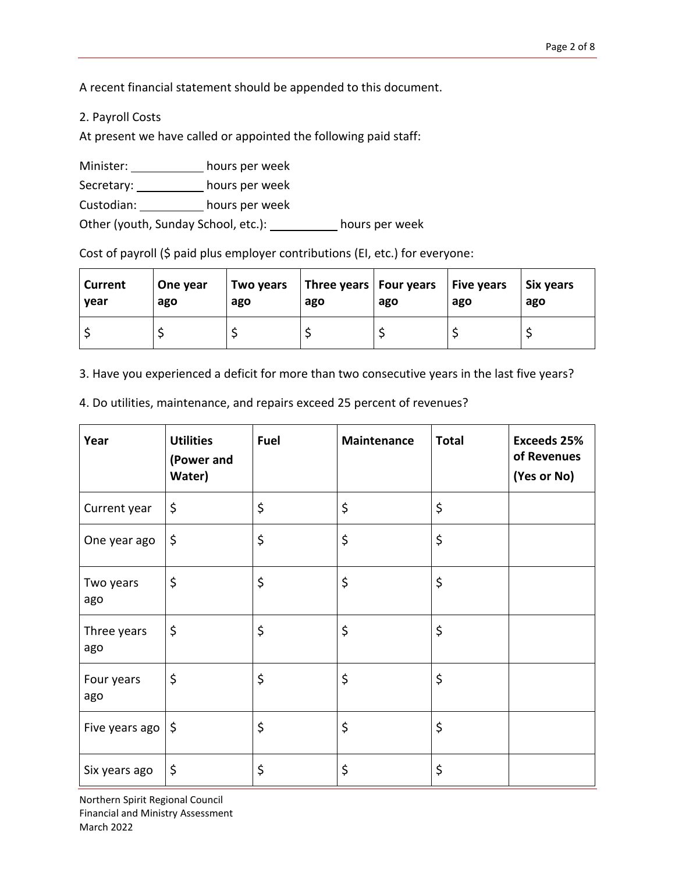A recent financial statement should be appended to this document.

2. Payroll Costs

At present we have called or appointed the following paid staff:

Minister: \_\_\_\_\_\_\_\_\_\_\_\_ hours per week

Secretary: \_\_\_\_\_\_\_\_\_\_\_ hours per week

Custodian: hours per week

Other (youth, Sunday School, etc.): hours per week

Cost of payroll (\$ paid plus employer contributions (EI, etc.) for everyone:

| <b>Current</b> | One year | Two years | Three years   Four years | ago | Five years | Six years |
|----------------|----------|-----------|--------------------------|-----|------------|-----------|
| vear           | ago      | ago       | ago                      |     | ago        | ago       |
|                |          |           |                          |     |            |           |

3. Have you experienced a deficit for more than two consecutive years in the last five years?

4. Do utilities, maintenance, and repairs exceed 25 percent of revenues?

| Year               | <b>Utilities</b><br>(Power and<br>Water) | Fuel | Maintenance | <b>Total</b> | <b>Exceeds 25%</b><br>of Revenues<br>(Yes or No) |
|--------------------|------------------------------------------|------|-------------|--------------|--------------------------------------------------|
| Current year       | \$                                       | \$   | \$          | \$           |                                                  |
| One year ago       | \$                                       | \$   | \$          | \$           |                                                  |
| Two years<br>ago   | \$                                       | \$   | \$          | \$           |                                                  |
| Three years<br>ago | \$                                       | \$   | \$          | \$           |                                                  |
| Four years<br>ago  | \$                                       | \$   | \$          | \$           |                                                  |
| Five years ago     | $\zeta$                                  | \$   | \$          | \$           |                                                  |
| Six years ago      | \$                                       | \$   | \$          | \$           |                                                  |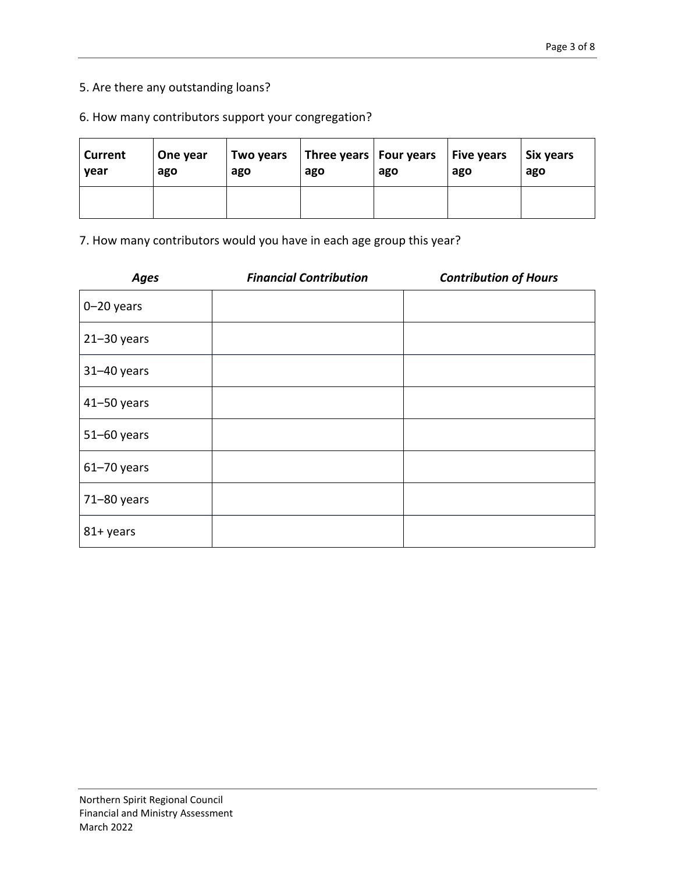## 5. Are there any outstanding loans?

#### 6. How many contributors support your congregation?

| Current<br>year | One year<br>ago | Two years<br>ago | ago | Three years   Four years $\vert$ Five years<br>ago | ago | Six years<br>ago |
|-----------------|-----------------|------------------|-----|----------------------------------------------------|-----|------------------|
|                 |                 |                  |     |                                                    |     |                  |

7. How many contributors would you have in each age group this year?

| <b>Ages</b>     | <b>Financial Contribution</b> | <b>Contribution of Hours</b> |
|-----------------|-------------------------------|------------------------------|
| $0 - 20$ years  |                               |                              |
| $21 - 30$ years |                               |                              |
| $31 - 40$ years |                               |                              |
| $41 - 50$ years |                               |                              |
| $51 - 60$ years |                               |                              |
| $61 - 70$ years |                               |                              |
| 71-80 years     |                               |                              |
| 81+ years       |                               |                              |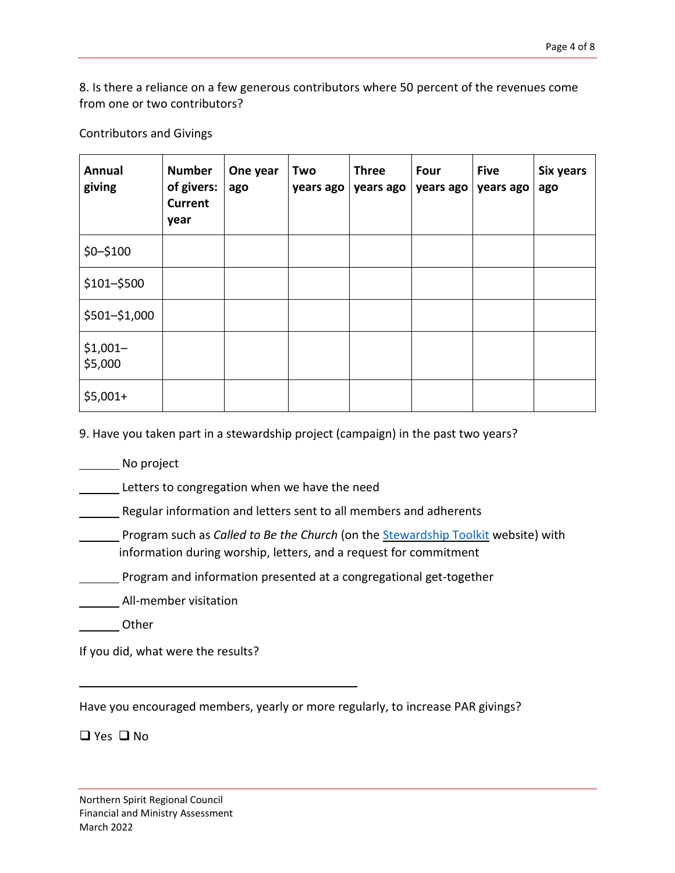8. Is there a reliance on a few generous contributors where 50 percent of the revenues come from one or two contributors?

Contributors and Givings

| Annual<br>giving     | <b>Number</b><br>of givers:<br><b>Current</b><br>year | One year<br>ago | Two<br>years ago | <b>Three</b><br>years ago | Four<br>years ago | <b>Five</b><br>years ago | Six years<br>ago |
|----------------------|-------------------------------------------------------|-----------------|------------------|---------------------------|-------------------|--------------------------|------------------|
| $$0 - $100$          |                                                       |                 |                  |                           |                   |                          |                  |
| \$101-\$500          |                                                       |                 |                  |                           |                   |                          |                  |
| \$501-\$1,000        |                                                       |                 |                  |                           |                   |                          |                  |
| $$1,001-$<br>\$5,000 |                                                       |                 |                  |                           |                   |                          |                  |
| $$5,001+$            |                                                       |                 |                  |                           |                   |                          |                  |

9. Have you taken part in a stewardship project (campaign) in the past two years?

No project

Letters to congregation when we have the need

Regular information and letters sent to all members and adherents

Program such as *Called to Be the Church* (on the [Stewardship](http://www.stewardshiptoolkit.ca/) Toolkit website) with information during worship, letters, and a request for commitment

**Program and information presented at a congregational get-together** 

All-member visitation

Other

If you did, what were the results?

Have you encouraged members, yearly or more regularly, to increase PAR givings?

❑ Yes ❑ No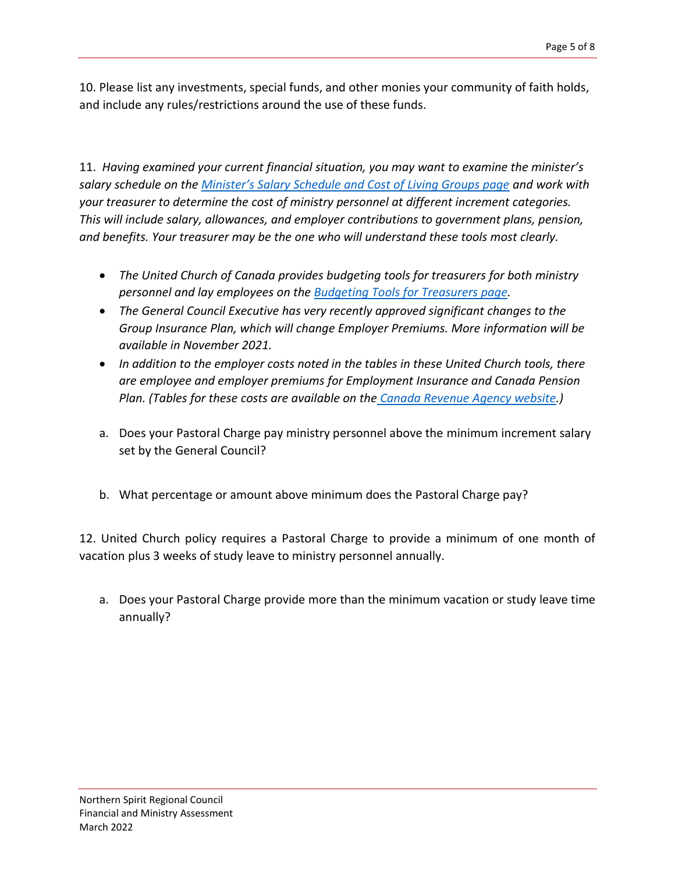10. Please list any investments, special funds, and other monies your community of faith holds, and include any rules/restrictions around the use of these funds.

11. *Having examined your current financial situation, you may want to examine the minister's salary schedule on the [Minister's Salary Schedule and Cost of Living Groups page](https://www.united-church.ca/leadership/church-administration/ministers-salary-schedule-and-cost-living-groups) and work with your treasurer to determine the cost of ministry personnel at different increment categories. This will include salary, allowances, and employer contributions to government plans, pension, and benefits. Your treasurer may be the one who will understand these tools most clearly.*

- *The United Church of Canada provides budgeting tools for treasurers for both ministry personnel and lay employees on the [Budgeting Tools for Treasurers page.](https://www.united-church.ca/leadership/church-administration/budgeting-tools-treasurers)*
- *The General Council Executive has very recently approved significant changes to the Group Insurance Plan, which will change Employer Premiums. More information will be available in November 2021.*
- *In addition to the employer costs noted in the tables in these United Church tools, there are employee and employer premiums for Employment Insurance and Canada Pension Plan. (Tables for these costs are available on the [Canada Revenue Agency website.](https://www.canada.ca/en/revenue-agency.html))*
- a. Does your Pastoral Charge pay ministry personnel above the minimum increment salary set by the General Council?
- b. What percentage or amount above minimum does the Pastoral Charge pay?

12. United Church policy requires a Pastoral Charge to provide a minimum of one month of vacation plus 3 weeks of study leave to ministry personnel annually.

a. Does your Pastoral Charge provide more than the minimum vacation or study leave time annually?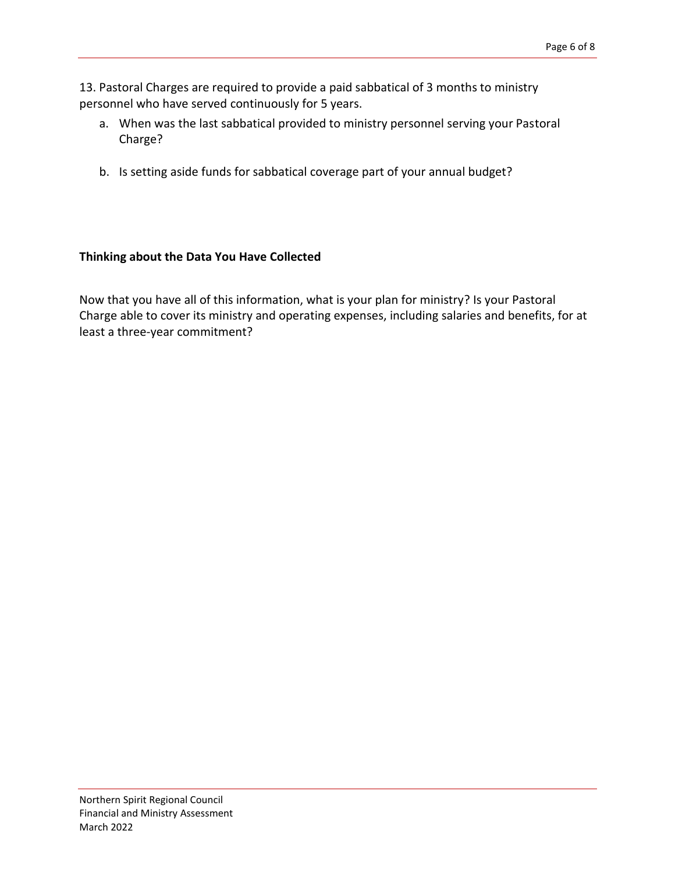13. Pastoral Charges are required to provide a paid sabbatical of 3 months to ministry personnel who have served continuously for 5 years.

- a. When was the last sabbatical provided to ministry personnel serving your Pastoral Charge?
- b. Is setting aside funds for sabbatical coverage part of your annual budget?

### **Thinking about the Data You Have Collected**

Now that you have all of this information, what is your plan for ministry? Is your Pastoral Charge able to cover its ministry and operating expenses, including salaries and benefits, for at least a three-year commitment?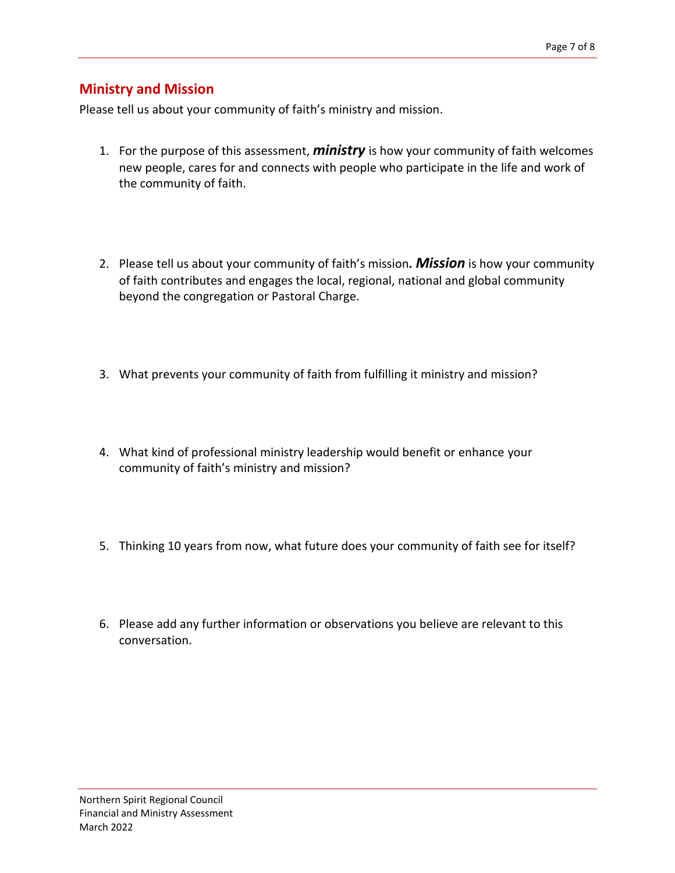## **Ministry and Mission**

Please tell us about your community of faith's ministry and mission.

- 1. For the purpose of this assessment, *ministry* is how your community of faith welcomes new people, cares for and connects with people who participate in the life and work of the community of faith.
- 2. Please tell us about your community of faith's mission*. Mission* is how your community of faith contributes and engages the local, regional, national and global community beyond the congregation or Pastoral Charge.
- 3. What prevents your community of faith from fulfilling it ministry and mission?
- 4. What kind of professional ministry leadership would benefit or enhance your community of faith's ministry and mission?
- 5. Thinking 10 years from now, what future does your community of faith see for itself?
- 6. Please add any further information or observations you believe are relevant to this conversation.